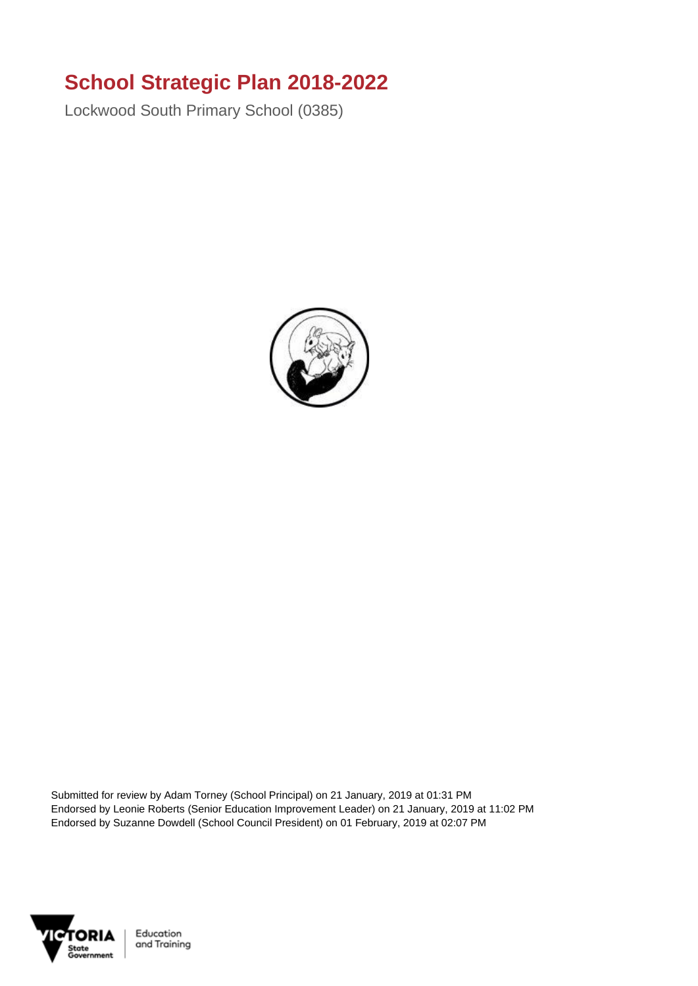## **School Strategic Plan 2018-2022**

Lockwood South Primary School (0385)



Submitted for review by Adam Torney (School Principal) on 21 January, 2019 at 01:31 PM Endorsed by Leonie Roberts (Senior Education Improvement Leader) on 21 January, 2019 at 11:02 PM Endorsed by Suzanne Dowdell (School Council President) on 01 February, 2019 at 02:07 PM

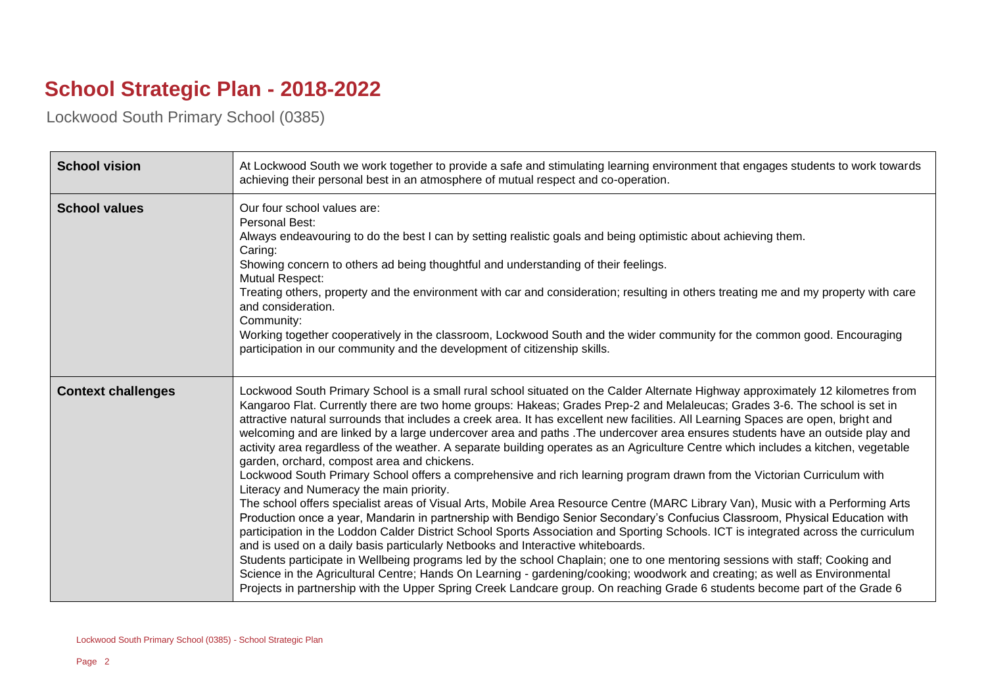## **School Strategic Plan - 2018-2022**

Lockwood South Primary School (0385)

| <b>School vision</b>      | At Lockwood South we work together to provide a safe and stimulating learning environment that engages students to work towards<br>achieving their personal best in an atmosphere of mutual respect and co-operation.                                                                                                                                                                                                                                                                                                                                                                                                                                                                                                                                                                                                                                                                                                                                                                                                                                                                                                                                                                                                                                                                                                                                                                                                                                                                                                                                                                                                                                                                                                                                                                      |
|---------------------------|--------------------------------------------------------------------------------------------------------------------------------------------------------------------------------------------------------------------------------------------------------------------------------------------------------------------------------------------------------------------------------------------------------------------------------------------------------------------------------------------------------------------------------------------------------------------------------------------------------------------------------------------------------------------------------------------------------------------------------------------------------------------------------------------------------------------------------------------------------------------------------------------------------------------------------------------------------------------------------------------------------------------------------------------------------------------------------------------------------------------------------------------------------------------------------------------------------------------------------------------------------------------------------------------------------------------------------------------------------------------------------------------------------------------------------------------------------------------------------------------------------------------------------------------------------------------------------------------------------------------------------------------------------------------------------------------------------------------------------------------------------------------------------------------|
| <b>School values</b>      | Our four school values are:<br>Personal Best:<br>Always endeavouring to do the best I can by setting realistic goals and being optimistic about achieving them.<br>Caring:<br>Showing concern to others ad being thoughtful and understanding of their feelings.<br><b>Mutual Respect:</b><br>Treating others, property and the environment with car and consideration; resulting in others treating me and my property with care<br>and consideration.<br>Community:<br>Working together cooperatively in the classroom, Lockwood South and the wider community for the common good. Encouraging<br>participation in our community and the development of citizenship skills.                                                                                                                                                                                                                                                                                                                                                                                                                                                                                                                                                                                                                                                                                                                                                                                                                                                                                                                                                                                                                                                                                                             |
| <b>Context challenges</b> | Lockwood South Primary School is a small rural school situated on the Calder Alternate Highway approximately 12 kilometres from<br>Kangaroo Flat. Currently there are two home groups: Hakeas; Grades Prep-2 and Melaleucas; Grades 3-6. The school is set in<br>attractive natural surrounds that includes a creek area. It has excellent new facilities. All Learning Spaces are open, bright and<br>welcoming and are linked by a large undercover area and paths . The undercover area ensures students have an outside play and<br>activity area regardless of the weather. A separate building operates as an Agriculture Centre which includes a kitchen, vegetable<br>garden, orchard, compost area and chickens.<br>Lockwood South Primary School offers a comprehensive and rich learning program drawn from the Victorian Curriculum with<br>Literacy and Numeracy the main priority.<br>The school offers specialist areas of Visual Arts, Mobile Area Resource Centre (MARC Library Van), Music with a Performing Arts<br>Production once a year, Mandarin in partnership with Bendigo Senior Secondary's Confucius Classroom, Physical Education with<br>participation in the Loddon Calder District School Sports Association and Sporting Schools. ICT is integrated across the curriculum<br>and is used on a daily basis particularly Netbooks and Interactive whiteboards.<br>Students participate in Wellbeing programs led by the school Chaplain; one to one mentoring sessions with staff; Cooking and<br>Science in the Agricultural Centre; Hands On Learning - gardening/cooking; woodwork and creating; as well as Environmental<br>Projects in partnership with the Upper Spring Creek Landcare group. On reaching Grade 6 students become part of the Grade 6 |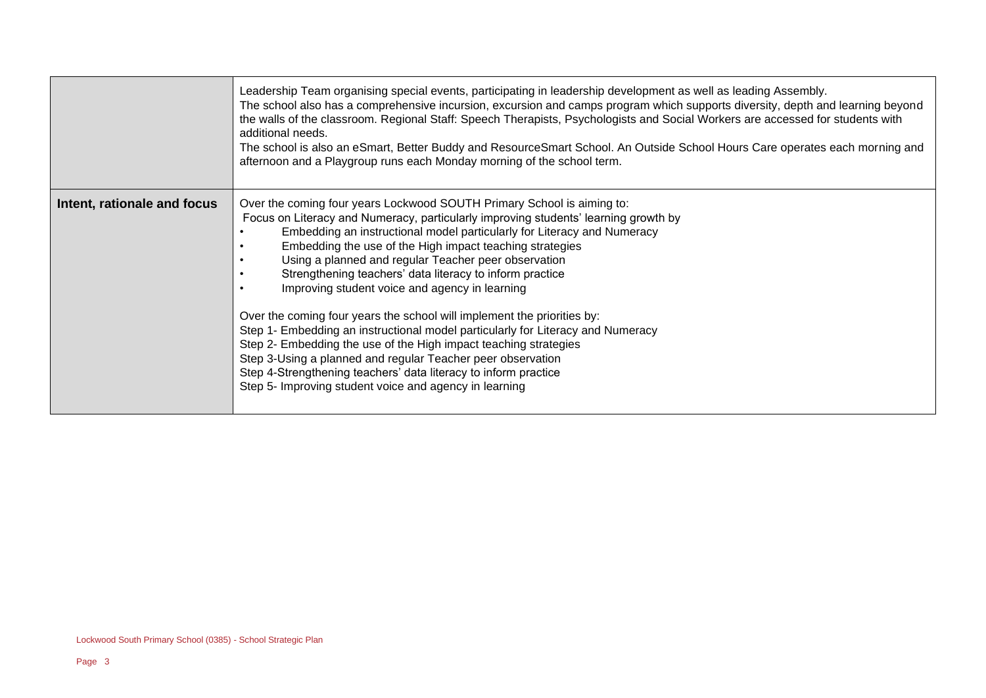|                             | Leadership Team organising special events, participating in leadership development as well as leading Assembly.<br>The school also has a comprehensive incursion, excursion and camps program which supports diversity, depth and learning beyond<br>the walls of the classroom. Regional Staff: Speech Therapists, Psychologists and Social Workers are accessed for students with<br>additional needs.<br>The school is also an eSmart, Better Buddy and ResourceSmart School. An Outside School Hours Care operates each morning and<br>afternoon and a Playgroup runs each Monday morning of the school term.                                                                                                                                                                                                                                                                                        |
|-----------------------------|----------------------------------------------------------------------------------------------------------------------------------------------------------------------------------------------------------------------------------------------------------------------------------------------------------------------------------------------------------------------------------------------------------------------------------------------------------------------------------------------------------------------------------------------------------------------------------------------------------------------------------------------------------------------------------------------------------------------------------------------------------------------------------------------------------------------------------------------------------------------------------------------------------|
| Intent, rationale and focus | Over the coming four years Lockwood SOUTH Primary School is aiming to:<br>Focus on Literacy and Numeracy, particularly improving students' learning growth by<br>Embedding an instructional model particularly for Literacy and Numeracy<br>Embedding the use of the High impact teaching strategies<br>Using a planned and regular Teacher peer observation<br>Strengthening teachers' data literacy to inform practice<br>Improving student voice and agency in learning<br>Over the coming four years the school will implement the priorities by:<br>Step 1- Embedding an instructional model particularly for Literacy and Numeracy<br>Step 2- Embedding the use of the High impact teaching strategies<br>Step 3-Using a planned and regular Teacher peer observation<br>Step 4-Strengthening teachers' data literacy to inform practice<br>Step 5- Improving student voice and agency in learning |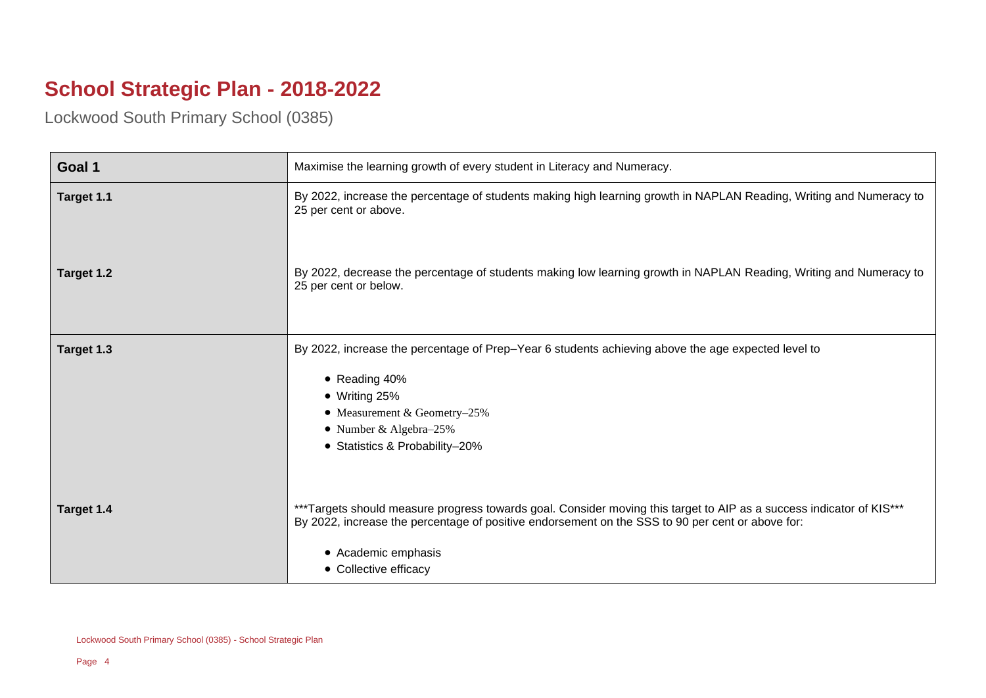## **School Strategic Plan - 2018-2022**

Lockwood South Primary School (0385)

| Goal 1     | Maximise the learning growth of every student in Literacy and Numeracy.                                                                                                                                                                                                  |
|------------|--------------------------------------------------------------------------------------------------------------------------------------------------------------------------------------------------------------------------------------------------------------------------|
| Target 1.1 | By 2022, increase the percentage of students making high learning growth in NAPLAN Reading, Writing and Numeracy to<br>25 per cent or above.                                                                                                                             |
| Target 1.2 | By 2022, decrease the percentage of students making low learning growth in NAPLAN Reading, Writing and Numeracy to<br>25 per cent or below.                                                                                                                              |
| Target 1.3 | By 2022, increase the percentage of Prep-Year 6 students achieving above the age expected level to<br>• Reading 40%<br>$\bullet$ Writing 25%<br>• Measurement & Geometry-25%<br>• Number & Algebra-25%<br>• Statistics & Probability-20%                                 |
| Target 1.4 | ***Targets should measure progress towards goal. Consider moving this target to AIP as a success indicator of KIS***<br>By 2022, increase the percentage of positive endorsement on the SSS to 90 per cent or above for:<br>• Academic emphasis<br>• Collective efficacy |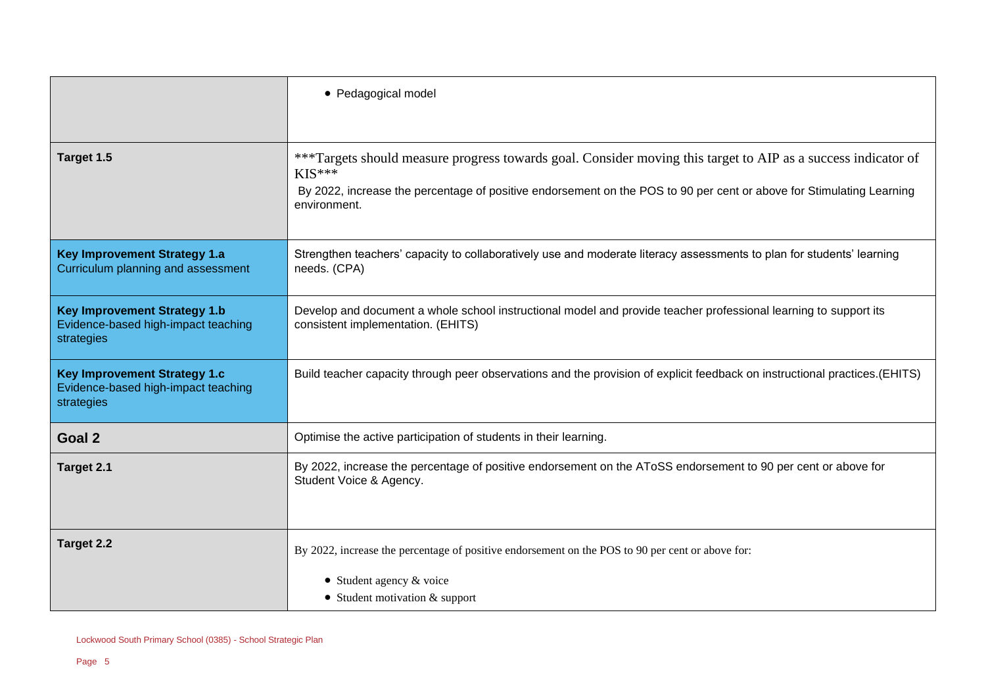|                                                                                          | • Pedagogical model                                                                                                                                                                                                                                               |
|------------------------------------------------------------------------------------------|-------------------------------------------------------------------------------------------------------------------------------------------------------------------------------------------------------------------------------------------------------------------|
| Target 1.5                                                                               | ***Targets should measure progress towards goal. Consider moving this target to AIP as a success indicator of<br>$KIS***$<br>By 2022, increase the percentage of positive endorsement on the POS to 90 per cent or above for Stimulating Learning<br>environment. |
| <b>Key Improvement Strategy 1.a</b><br>Curriculum planning and assessment                | Strengthen teachers' capacity to collaboratively use and moderate literacy assessments to plan for students' learning<br>needs. (CPA)                                                                                                                             |
| <b>Key Improvement Strategy 1.b</b><br>Evidence-based high-impact teaching<br>strategies | Develop and document a whole school instructional model and provide teacher professional learning to support its<br>consistent implementation. (EHITS)                                                                                                            |
| <b>Key Improvement Strategy 1.c</b><br>Evidence-based high-impact teaching<br>strategies | Build teacher capacity through peer observations and the provision of explicit feedback on instructional practices. (EHITS)                                                                                                                                       |
| Goal 2                                                                                   | Optimise the active participation of students in their learning.                                                                                                                                                                                                  |
| Target 2.1                                                                               | By 2022, increase the percentage of positive endorsement on the AToSS endorsement to 90 per cent or above for<br>Student Voice & Agency.                                                                                                                          |
| Target 2.2                                                                               | By 2022, increase the percentage of positive endorsement on the POS to 90 per cent or above for:                                                                                                                                                                  |
|                                                                                          | $\bullet$ Student agency & voice<br>$\bullet$ Student motivation & support                                                                                                                                                                                        |